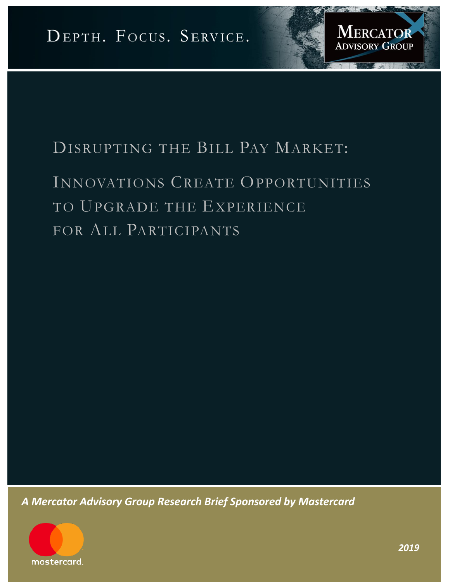

# INNOVATIONS CREATE OPPORTUNITIES TO UPGRADE THE EXPERIENCE FOR ALL PARTICIPANTS

*A Mercator Advisory Group Research Brief Sponsored by Mastercard*



**MERCATOR** 

**ADVISORY GROUP**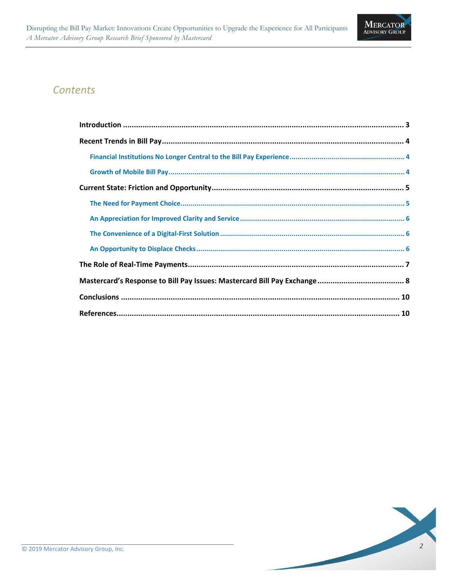

### *Contents*

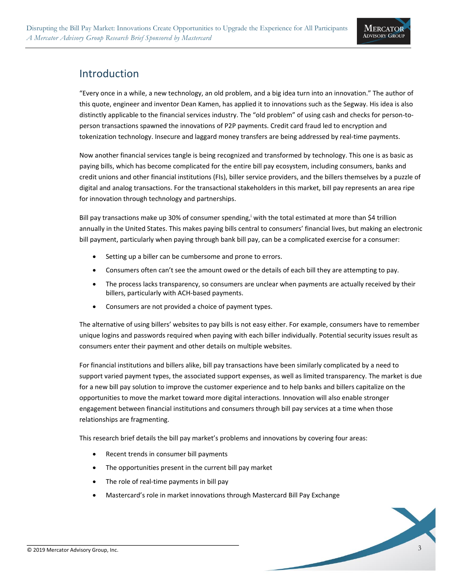

### <span id="page-2-0"></span>Introduction

"Every once in a while, a new technology, an old problem, and a big idea turn into an innovation." The author of this quote, engineer and inventor Dean Kamen, has applied it to innovations such as the Segway. His idea is also distinctly applicable to the financial services industry. The "old problem" of using cash and checks for person-toperson transactions spawned the innovations of P2P payments. Credit card fraud led to encryption and tokenization technology. Insecure and laggard money transfers are being addressed by real-time payments.

Now another financial services tangle is being recognized and transformed by technology. This one is as basic as paying bills, which has become complicated for the entire bill pay ecosystem, including consumers, banks and credit unions and other financial institutions (FIs), biller service providers, and the billers themselves by a puzzle of digital and analog transactions. For the transactional stakeholders in this market, bill pay represents an area ripe for innovation through technology and partnerships.

Bill pay transactions make up 30% of consumer spending, with the total estimated at more than \$4 trillion annually in the United States. This makes paying bills central to consumers' financial lives, but making an electronic bill payment, particularly when paying through bank bill pay, can be a complicated exercise for a consumer:

- Setting up a biller can be cumbersome and prone to errors.
- Consumers often can't see the amount owed or the details of each bill they are attempting to pay.
- The process lacks transparency, so consumers are unclear when payments are actually received by their billers, particularly with ACH-based payments.
- Consumers are not provided a choice of payment types.

The alternative of using billers' websites to pay bills is not easy either. For example, consumers have to remember unique logins and passwords required when paying with each biller individually. Potential security issues result as consumers enter their payment and other details on multiple websites.

For financial institutions and billers alike, bill pay transactions have been similarly complicated by a need to support varied payment types, the associated support expenses, as well as limited transparency. The market is due for a new bill pay solution to improve the customer experience and to help banks and billers capitalize on the opportunities to move the market toward more digital interactions. Innovation will also enable stronger engagement between financial institutions and consumers through bill pay services at a time when those relationships are fragmenting.

This research brief details the bill pay market's problems and innovations by covering four areas:

- Recent trends in consumer bill payments
- The opportunities present in the current bill pay market
- The role of real-time payments in bill pay
- Mastercard's role in market innovations through Mastercard Bill Pay Exchange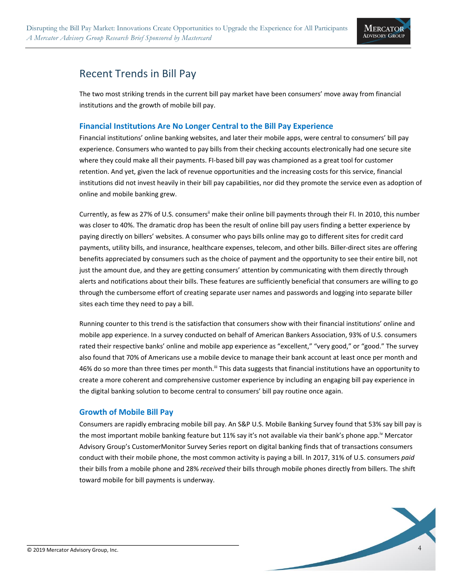

### <span id="page-3-0"></span>Recent Trends in Bill Pay

The two most striking trends in the current bill pay market have been consumers' move away from financial institutions and the growth of mobile bill pay.

#### <span id="page-3-1"></span>**Financial Institutions Are No Longer Central to the Bill Pay Experience**

Financial institutions' online banking websites, and later their mobile apps, were central to consumers' bill pay experience. Consumers who wanted to pay bills from their checking accounts electronically had one secure site where they could make all their payments. FI-based bill pay was championed as a great tool for customer retention. And yet, given the lack of revenue opportunities and the increasing costs for this service, financial institutions did not invest heavily in their bill pay capabilities, nor did they promote the service even as adoption of online and mobile banking grew.

Currently, as few as 27% of U.S. consumers<sup>ii</sup> make their online bill payments through their FI. In 2010, this number was closer to 40%. The dramatic drop has been the result of online bill pay users finding a better experience by paying directly on billers' websites. A consumer who pays bills online may go to different sites for credit card payments, utility bills, and insurance, healthcare expenses, telecom, and other bills. Biller-direct sites are offering benefits appreciated by consumers such as the choice of payment and the opportunity to see their entire bill, not just the amount due, and they are getting consumers' attention by communicating with them directly through alerts and notifications about their bills. These features are sufficiently beneficial that consumers are willing to go through the cumbersome effort of creating separate user names and passwords and logging into separate biller sites each time they need to pay a bill.

Running counter to this trend is the satisfaction that consumers show with their financial institutions' online and mobile app experience. In a survey conducted on behalf of American Bankers Association, 93% of U.S. consumers rated their respective banks' online and mobile app experience as "excellent," "very good," or "good." The survey also found that 70% of Americans use a mobile device to manage their bank account at least once per month and 46% do so more than three times per month.<sup>iii</sup> This data suggests that financial institutions have an opportunity to create a more coherent and comprehensive customer experience by including an engaging bill pay experience in the digital banking solution to become central to consumers' bill pay routine once again.

### <span id="page-3-2"></span>**Growth of Mobile Bill Pay**

Consumers are rapidly embracing mobile bill pay. An S&P U.S. Mobile Banking Survey found that 53% say bill pay is the most important mobile banking feature but 11% say it's not available via their bank's phone app.<sup>iv</sup> Mercator Advisory Group's CustomerMonitor Survey Series report on digital banking finds that of transactions consumers conduct with their mobile phone, the most common activity is paying a bill. In 2017, 31% of U.S. consumers *paid* their bills from a mobile phone and 28% *received* their bills through mobile phones directly from billers. The shift toward mobile for bill payments is underway.

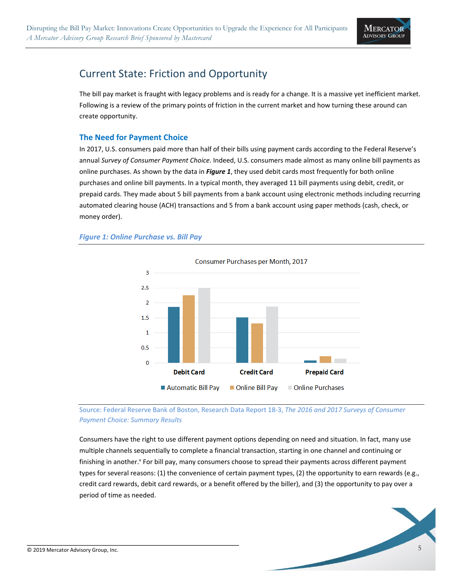

# <span id="page-4-0"></span>Current State: Friction and Opportunity

The bill pay market is fraught with legacy problems and is ready for a change. It is a massive yet inefficient market. Following is a review of the primary points of friction in the current market and how turning these around can create opportunity.

### <span id="page-4-1"></span>**The Need for Payment Choice**

In 2017, U.S. consumers paid more than half of their bills using payment cards according to the Federal Reserve's annual *Survey of Consumer Payment Choice*. Indeed, U.S. consumers made almost as many online bill payments as online purchases. As shown by the data in *Figure 1*, they used debit cards most frequently for both online purchases and online bill payments. In a typical month, they averaged 11 bill payments using debit, credit, or prepaid cards. They made about 5 bill payments from a bank account using electronic methods including recurring automated clearing house (ACH) transactions and 5 from a bank account using paper methods (cash, check, or money order).

#### *Figure 1: Online Purchase vs. Bill Pay*



[Source: Federal Reserve Bank of Boston, Research Data Report 18-3,](https://www.federalreserve.gov/paymentsystems/2017-December-The-Federal-Reserve-Payments-Study.htm) *The 2016 and 2017 Surveys of Consumer [Payment Choice: Summary Results](https://www.federalreserve.gov/paymentsystems/2017-December-The-Federal-Reserve-Payments-Study.htm)*

Consumers have the right to use different payment options depending on need and situation. In fact, many use multiple channels sequentially to complete a financial transaction, starting in one channel and continuing or finishing in another.<sup>y</sup> For bill pay, many consumers choose to spread their payments across different payment types for several reasons: (1) the convenience of certain payment types, (2) the opportunity to earn rewards (e.g., credit card rewards, debit card rewards, or a benefit offered by the biller), and (3) the opportunity to pay over a period of time as needed.

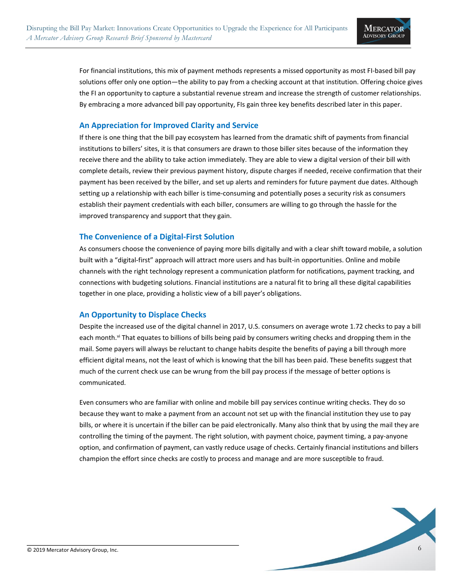

For financial institutions, this mix of payment methods represents a missed opportunity as most FI-based bill pay solutions offer only one option—the ability to pay from a checking account at that institution. Offering choice gives the FI an opportunity to capture a substantial revenue stream and increase the strength of customer relationships. By embracing a more advanced bill pay opportunity, FIs gain three key benefits described later in this paper.

#### <span id="page-5-0"></span>**An Appreciation for Improved Clarity and Service**

If there is one thing that the bill pay ecosystem has learned from the dramatic shift of payments from financial institutions to billers' sites, it is that consumers are drawn to those biller sites because of the information they receive there and the ability to take action immediately. They are able to view a digital version of their bill with complete details, review their previous payment history, dispute charges if needed, receive confirmation that their payment has been received by the biller, and set up alerts and reminders for future payment due dates. Although setting up a relationship with each biller is time-consuming and potentially poses a security risk as consumers establish their payment credentials with each biller, consumers are willing to go through the hassle for the improved transparency and support that they gain.

#### <span id="page-5-1"></span>**The Convenience of a Digital-First Solution**

As consumers choose the convenience of paying more bills digitally and with a clear shift toward mobile, a solution built with a "digital-first" approach will attract more users and has built-in opportunities. Online and mobile channels with the right technology represent a communication platform for notifications, payment tracking, and connections with budgeting solutions. Financial institutions are a natural fit to bring all these digital capabilities together in one place, providing a holistic view of a bill payer's obligations.

### <span id="page-5-2"></span>**An Opportunity to Displace Checks**

Despite the increased use of the digital channel in 2017, U.S. consumers on average wrote 1.72 checks to pay a bill each month.<sup>vi</sup> That equates to billions of bills being paid by consumers writing checks and dropping them in the mail. Some payers will always be reluctant to change habits despite the benefits of paying a bill through more efficient digital means, not the least of which is knowing that the bill has been paid. These benefits suggest that much of the current check use can be wrung from the bill pay process if the message of better options is communicated.

Even consumers who are familiar with online and mobile bill pay services continue writing checks. They do so because they want to make a payment from an account not set up with the financial institution they use to pay bills, or where it is uncertain if the biller can be paid electronically. Many also think that by using the mail they are controlling the timing of the payment. The right solution, with payment choice, payment timing, a pay-anyone option, and confirmation of payment, can vastly reduce usage of checks. Certainly financial institutions and billers champion the effort since checks are costly to process and manage and are more susceptible to fraud.

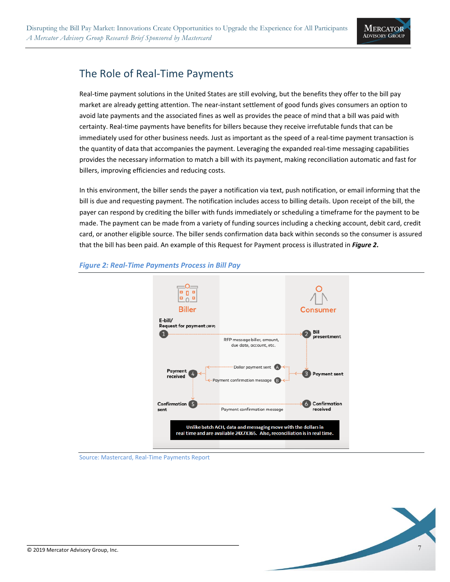

# <span id="page-6-0"></span>The Role of Real-Time Payments

Real-time payment solutions in the United States are still evolving, but the benefits they offer to the bill pay market are already getting attention. The near-instant settlement of good funds gives consumers an option to avoid late payments and the associated fines as well as provides the peace of mind that a bill was paid with certainty. Real-time payments have benefits for billers because they receive irrefutable funds that can be immediately used for other business needs. Just as important as the speed of a real-time payment transaction is the quantity of data that accompanies the payment. Leveraging the expanded real-time messaging capabilities provides the necessary information to match a bill with its payment, making reconciliation automatic and fast for billers, improving efficiencies and reducing costs.

In this environment, the biller sends the payer a notification via text, push notification, or email informing that the bill is due and requesting payment. The notification includes access to billing details. Upon receipt of the bill, the payer can respond by crediting the biller with funds immediately or scheduling a timeframe for the payment to be made. The payment can be made from a variety of funding sources including a checking account, debit card, credit card, or another eligible source. The biller sends confirmation data back within seconds so the consumer is assured that the bill has been paid. An example of this Request for Payment process is illustrated in *Figure 2***.**



#### *Figure 2: Real-Time Payments Process in Bill Pay*

Source: Mastercard, Real-Time Payments Report

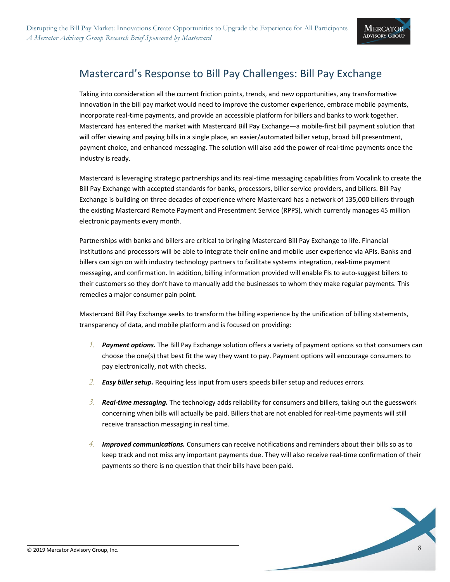

## <span id="page-7-0"></span>Mastercard's Response to Bill Pay Challenges: Bill Pay Exchange

Taking into consideration all the current friction points, trends, and new opportunities, any transformative innovation in the bill pay market would need to improve the customer experience, embrace mobile payments, incorporate real-time payments, and provide an accessible platform for billers and banks to work together. Mastercard has entered the market with Mastercard Bill Pay Exchange—a mobile-first bill payment solution that will offer viewing and paying bills in a single place, an easier/automated biller setup, broad bill presentment, payment choice, and enhanced messaging. The solution will also add the power of real-time payments once the industry is ready.

Mastercard is leveraging strategic partnerships and its real-time messaging capabilities from Vocalink to create the Bill Pay Exchange with accepted standards for banks, processors, biller service providers, and billers. Bill Pay Exchange is building on three decades of experience where Mastercard has a network of 135,000 billers through the existing Mastercard Remote Payment and Presentment Service (RPPS), which currently manages 45 million electronic payments every month.

Partnerships with banks and billers are critical to bringing Mastercard Bill Pay Exchange to life. Financial institutions and processors will be able to integrate their online and mobile user experience via APIs. Banks and billers can sign on with industry technology partners to facilitate systems integration, real-time payment messaging, and confirmation. In addition, billing information provided will enable FIs to auto-suggest billers to their customers so they don't have to manually add the businesses to whom they make regular payments. This remedies a major consumer pain point.

Mastercard Bill Pay Exchange seeks to transform the billing experience by the unification of billing statements, transparency of data, and mobile platform and is focused on providing:

- *1. Payment options.* The Bill Pay Exchange solution offers a variety of payment options so that consumers can choose the one(s) that best fit the way they want to pay. Payment options will encourage consumers to pay electronically, not with checks.
- *2. Easy biller setup.* Requiring less input from users speeds biller setup and reduces errors.
- *3. Real-time messaging.* The technology adds reliability for consumers and billers, taking out the guesswork concerning when bills will actually be paid. Billers that are not enabled for real-time payments will still receive transaction messaging in real time.
- *4. Improved communications.* Consumers can receive notifications and reminders about their bills so as to keep track and not miss any important payments due. They will also receive real-time confirmation of their payments so there is no question that their bills have been paid.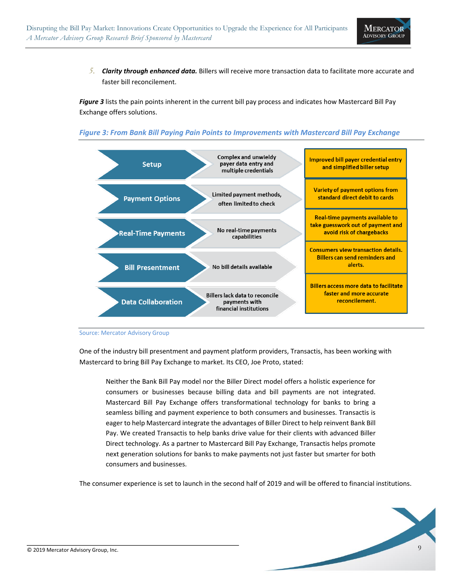

*5. Clarity through enhanced data.* Billers will receive more transaction data to facilitate more accurate and faster bill reconcilement.

*Figure 3* lists the pain points inherent in the current bill pay process and indicates how Mastercard Bill Pay Exchange offers solutions.

#### *Figure 3: From Bank Bill Paying Pain Points to Improvements with Mastercard Bill Pay Exchange*



Source: Mercator Advisory Group

One of the industry bill presentment and payment platform providers, Transactis, has been working with Mastercard to bring Bill Pay Exchange to market. Its CEO, Joe Proto, stated:

Neither the Bank Bill Pay model nor the Biller Direct model offers a holistic experience for consumers or businesses because billing data and bill payments are not integrated. Mastercard Bill Pay Exchange offers transformational technology for banks to bring a seamless billing and payment experience to both consumers and businesses. Transactis is eager to help Mastercard integrate the advantages of Biller Direct to help reinvent Bank Bill Pay. We created Transactis to help banks drive value for their clients with advanced Biller Direct technology. As a partner to Mastercard Bill Pay Exchange, Transactis helps promote next generation solutions for banks to make payments not just faster but smarter for both consumers and businesses.

The consumer experience is set to launch in the second half of 2019 and will be offered to financial institutions.

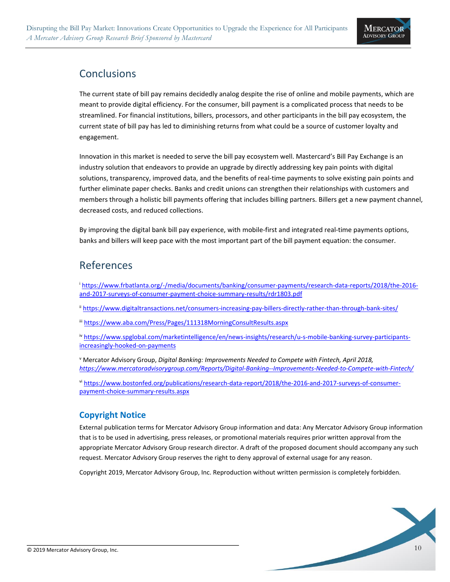

# <span id="page-9-0"></span>**Conclusions**

The current state of bill pay remains decidedly analog despite the rise of online and mobile payments, which are meant to provide digital efficiency. For the consumer, bill payment is a complicated process that needs to be streamlined. For financial institutions, billers, processors, and other participants in the bill pay ecosystem, the current state of bill pay has led to diminishing returns from what could be a source of customer loyalty and engagement.

Innovation in this market is needed to serve the bill pay ecosystem well. Mastercard's Bill Pay Exchange is an industry solution that endeavors to provide an upgrade by directly addressing key pain points with digital solutions, transparency, improved data, and the benefits of real-time payments to solve existing pain points and further eliminate paper checks. Banks and credit unions can strengthen their relationships with customers and members through a holistic bill payments offering that includes billing partners. Billers get a new payment channel, decreased costs, and reduced collections.

By improving the digital bank bill pay experience, with mobile-first and integrated real-time payments options, banks and billers will keep pace with the most important part of the bill payment equation: the consumer.

### References

<sup>i</sup> [https://www.frbatlanta.org/-/media/documents/banking/consumer-payments/research-data-reports/2018/the-2016](https://www.frbatlanta.org/-/media/documents/banking/consumer-payments/research-data-reports/2018/the-2016-and-2017-surveys-of-consumer-payment-choice-summary-results/rdr1803.pdf) [and-2017-surveys-of-consumer-payment-choice-summary-results/rdr1803.pdf](https://www.frbatlanta.org/-/media/documents/banking/consumer-payments/research-data-reports/2018/the-2016-and-2017-surveys-of-consumer-payment-choice-summary-results/rdr1803.pdf)

ii <https://www.digitaltransactions.net/consumers-increasing-pay-billers-directly-rather-than-through-bank-sites/>

iii <https://www.aba.com/Press/Pages/111318MorningConsultResults.aspx>

iv [https://www.spglobal.com/marketintelligence/en/news-insights/research/u-s-mobile-banking-survey-participants](https://www.spglobal.com/marketintelligence/en/news-insights/research/u-s-mobile-banking-survey-participants-increasingly-hooked-on-payments)[increasingly-hooked-on-payments](https://www.spglobal.com/marketintelligence/en/news-insights/research/u-s-mobile-banking-survey-participants-increasingly-hooked-on-payments)

<sup>v</sup> Mercator Advisory Group, *Digital Banking: Improvements Needed to Compete with Fintech, April 2018, <https://www.mercatoradvisorygroup.com/Reports/Digital-Banking--Improvements-Needed-to-Compete-with-Fintech/>*

vi [https://www.bostonfed.org/publications/research-data-report/2018/the-2016-and-2017-surveys-of-consumer](https://www.bostonfed.org/publications/research-data-report/2018/the-2016-and-2017-surveys-of-consumer-payment-choice-summary-results.aspx)[payment-choice-summary-results.aspx](https://www.bostonfed.org/publications/research-data-report/2018/the-2016-and-2017-surveys-of-consumer-payment-choice-summary-results.aspx)

### **Copyright Notice**

External publication terms for Mercator Advisory Group information and data: Any Mercator Advisory Group information that is to be used in advertising, press releases, or promotional materials requires prior written approval from the appropriate Mercator Advisory Group research director. A draft of the proposed document should accompany any such request. Mercator Advisory Group reserves the right to deny approval of external usage for any reason.

Copyright 2019, Mercator Advisory Group, Inc. Reproduction without written permission is completely forbidden.